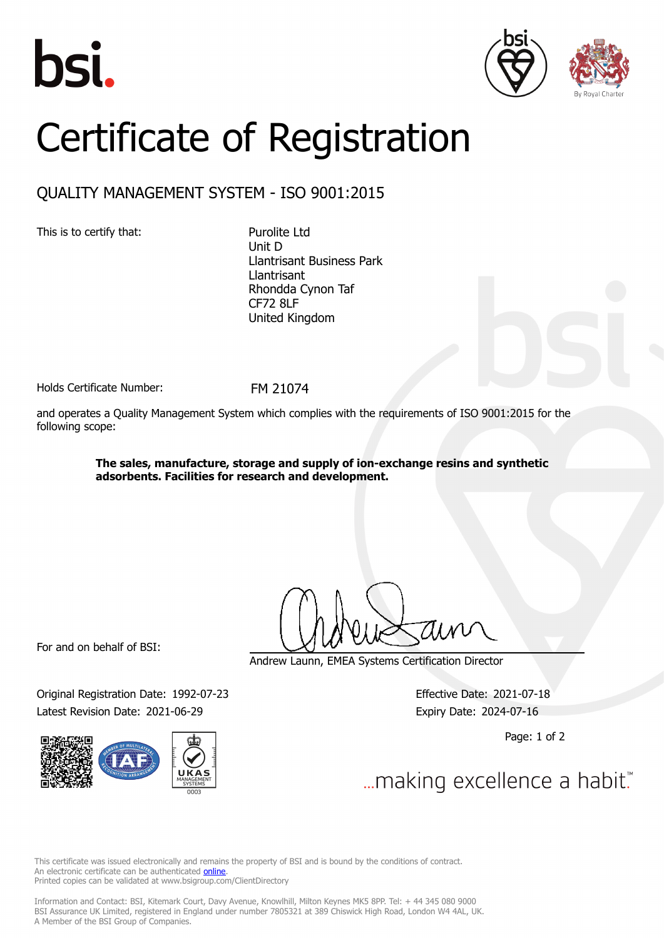





## Certificate of Registration

## QUALITY MANAGEMENT SYSTEM - ISO 9001:2015

This is to certify that: Purolite Ltd

Unit D Llantrisant Business Park Llantrisant Rhondda Cynon Taf CF72 8LF United Kingdom

Holds Certificate Number: FM 21074

and operates a Quality Management System which complies with the requirements of ISO 9001:2015 for the following scope:

> **The sales, manufacture, storage and supply of ion-exchange resins and synthetic adsorbents. Facilities for research and development.**

For and on behalf of BSI:

Original Registration Date: 1992-07-23 Effective Date: 2021-07-18 Latest Revision Date: 2021-06-29 Expiry Date: 2024-07-16



Andrew Launn, EMEA Systems Certification Director

Page: 1 of 2

... making excellence a habit."

This certificate was issued electronically and remains the property of BSI and is bound by the conditions of contract. An electronic certificate can be authenticated **[online](https://pgplus.bsigroup.com/CertificateValidation/CertificateValidator.aspx?CertificateNumber=FM+21074&ReIssueDate=29%2f06%2f2021&Template=uk)**. Printed copies can be validated at www.bsigroup.com/ClientDirectory

Information and Contact: BSI, Kitemark Court, Davy Avenue, Knowlhill, Milton Keynes MK5 8PP. Tel: + 44 345 080 9000 BSI Assurance UK Limited, registered in England under number 7805321 at 389 Chiswick High Road, London W4 4AL, UK. A Member of the BSI Group of Companies.